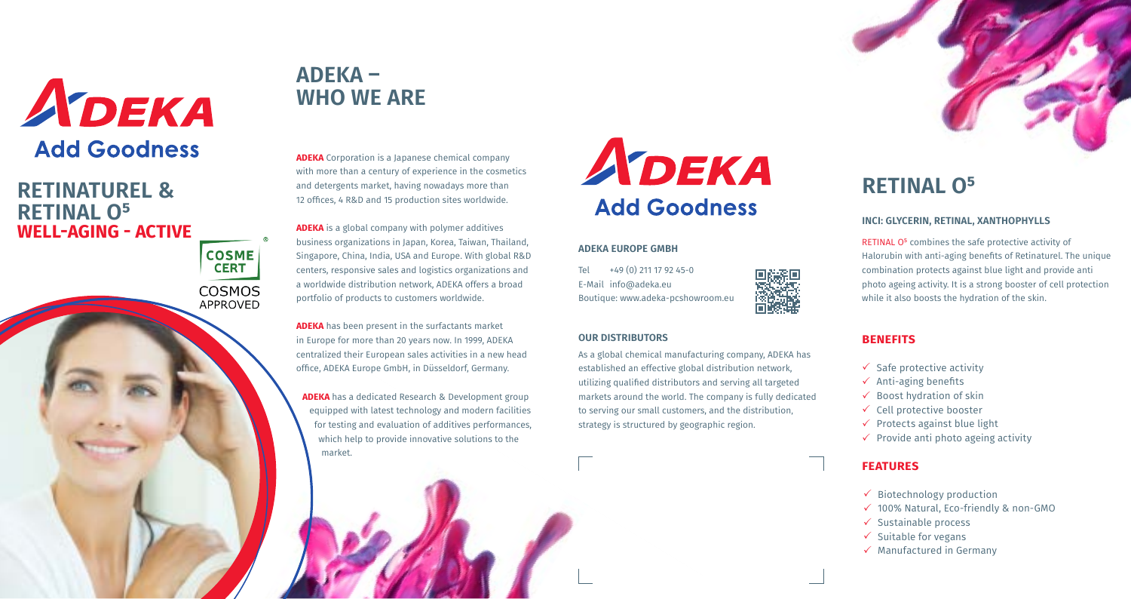**ADEKA** Corporation is a Japanese chemical company with more than a century of experience in the cosmetics and detergents market, having nowadays more than 12 offices, 4 R&D and 15 production sites worldwide.

**ADEKA** is a global company with polymer additives business organizations in Japan, Korea, Taiwan, Thailand, Singapore, China, India, USA and Europe. With global R&D centers, responsive sales and logistics organizations and a worldwide distribution network, ADEKA offers a broad portfolio of products to customers worldwide.

> As a global chemical manufacturing company, ADEKA has established an effective global distribution network, utilizing qualified distributors and serving all targeted markets around the world. The company is fully dedicated to serving our small customers, and the distribution.



**ADEKA** has been present in the surfactants market in Europe for more than 20 years now. In 1999, ADEKA centralized their European sales activities in a new head office, ADEKA Europe GmbH, in Düsseldorf, Germany.

**ADEKA** has a dedicated Research & Development group equipped with latest technology and modern facilities for testing and evaluation of additives performances, which help to provide innovative solutions to the market.

# ADEKA **Add Goodness**

RETINAL O<sup>5</sup> combines the safe protective activity of Halorubin with anti-aging benefits of Retinaturel. The unique combination protects against blue light and provide anti photo ageing activity. It is a strong booster of cell protection while it also boosts the hydration of the skin.

#### **ADEKA EUROPE GMBH**

Tel +49 (0) 211 17 92 45-0 E-Mail info@adeka.eu Boutique: www.adeka-pcshowroom.eu

**OUR DISTRIBUTORS** 

strategy is structured by geographic region.

## **ADEKA – WHO WE ARE**

### **INCI: GLYCERIN, RETINAL, XANTHOPHYLLS**

### **benefits**

- $\checkmark$  Safe protective activity  $\checkmark$  Anti-aging benefits  $\checkmark$  Boost hydration of skin  $\checkmark$  Cell protective booster  $\checkmark$  Protects against blue light  $\checkmark$  Provide anti photo ageing activity
- 
- 
- 
- 
- 

### **features**

- $\checkmark$  Biotechnology production  $\checkmark$  100% Natural, Eco-friendly & non-GMO  $\checkmark$  Sustainable process  $\checkmark$  Suitable for vegans  $\checkmark$  Manufactured in Germany
- 
- 
- 
- 



## **RETINAL 0<sup>5</sup>**



### **RETINATUREL & RETINAL O<sup>5</sup> WELL-AGING - ACTIVE**

**CERT COSMOS APPROVED** 

**COSME**